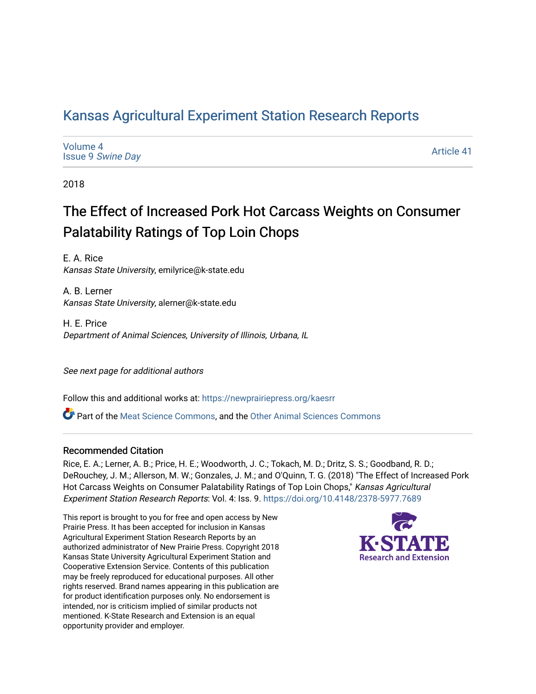# [Kansas Agricultural Experiment Station Research Reports](https://newprairiepress.org/kaesrr)

[Volume 4](https://newprairiepress.org/kaesrr/vol4) Issue 9 [Swine Day](https://newprairiepress.org/kaesrr/vol4/iss9)

[Article 41](https://newprairiepress.org/kaesrr/vol4/iss9/41) 

2018

# The Effect of Increased Pork Hot Carcass Weights on Consumer Palatability Ratings of Top Loin Chops

E. A. Rice Kansas State University, emilyrice@k-state.edu

A. B. Lerner Kansas State University, alerner@k-state.edu

H. E. Price Department of Animal Sciences, University of Illinois, Urbana, IL

See next page for additional authors

Follow this and additional works at: [https://newprairiepress.org/kaesrr](https://newprairiepress.org/kaesrr?utm_source=newprairiepress.org%2Fkaesrr%2Fvol4%2Fiss9%2F41&utm_medium=PDF&utm_campaign=PDFCoverPages) 

Part of the [Meat Science Commons,](http://network.bepress.com/hgg/discipline/1301?utm_source=newprairiepress.org%2Fkaesrr%2Fvol4%2Fiss9%2F41&utm_medium=PDF&utm_campaign=PDFCoverPages) and the [Other Animal Sciences Commons](http://network.bepress.com/hgg/discipline/82?utm_source=newprairiepress.org%2Fkaesrr%2Fvol4%2Fiss9%2F41&utm_medium=PDF&utm_campaign=PDFCoverPages)

#### Recommended Citation

Rice, E. A.; Lerner, A. B.; Price, H. E.; Woodworth, J. C.; Tokach, M. D.; Dritz, S. S.; Goodband, R. D.; DeRouchey, J. M.; Allerson, M. W.; Gonzales, J. M.; and O'Quinn, T. G. (2018) "The Effect of Increased Pork Hot Carcass Weights on Consumer Palatability Ratings of Top Loin Chops," Kansas Agricultural Experiment Station Research Reports: Vol. 4: Iss. 9. <https://doi.org/10.4148/2378-5977.7689>

This report is brought to you for free and open access by New Prairie Press. It has been accepted for inclusion in Kansas Agricultural Experiment Station Research Reports by an authorized administrator of New Prairie Press. Copyright 2018 Kansas State University Agricultural Experiment Station and Cooperative Extension Service. Contents of this publication may be freely reproduced for educational purposes. All other rights reserved. Brand names appearing in this publication are for product identification purposes only. No endorsement is intended, nor is criticism implied of similar products not mentioned. K-State Research and Extension is an equal opportunity provider and employer.

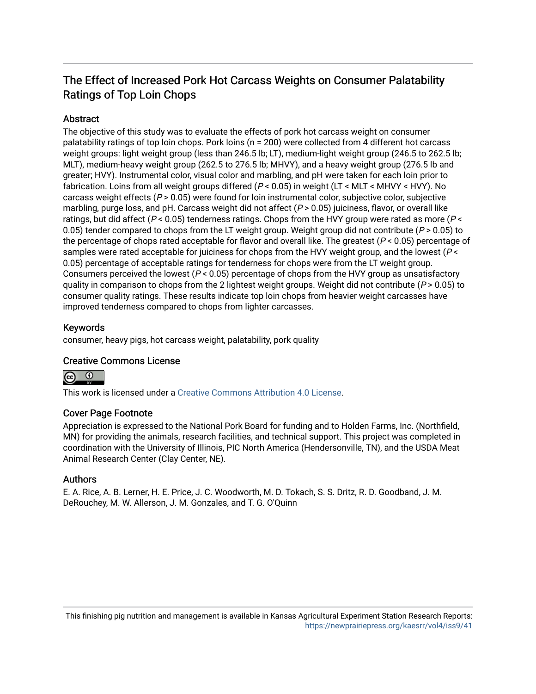# The Effect of Increased Pork Hot Carcass Weights on Consumer Palatability Ratings of Top Loin Chops

## **Abstract**

The objective of this study was to evaluate the effects of pork hot carcass weight on consumer palatability ratings of top loin chops. Pork loins (n = 200) were collected from 4 different hot carcass weight groups: light weight group (less than 246.5 lb; LT), medium-light weight group (246.5 to 262.5 lb; MLT), medium-heavy weight group (262.5 to 276.5 lb; MHVY), and a heavy weight group (276.5 lb and greater; HVY). Instrumental color, visual color and marbling, and pH were taken for each loin prior to fabrication. Loins from all weight groups differed  $(P < 0.05)$  in weight  $(LT < MLT < MHVY < HWY)$ . No carcass weight effects  $(P > 0.05)$  were found for loin instrumental color, subjective color, subjective marbling, purge loss, and pH. Carcass weight did not affect ( $P > 0.05$ ) juiciness, flavor, or overall like ratings, but did affect ( $P < 0.05$ ) tenderness ratings. Chops from the HVY group were rated as more ( $P <$ 0.05) tender compared to chops from the LT weight group. Weight group did not contribute ( $P > 0.05$ ) to the percentage of chops rated acceptable for flavor and overall like. The greatest ( $P < 0.05$ ) percentage of samples were rated acceptable for juiciness for chops from the HVY weight group, and the lowest ( $P \leq$ 0.05) percentage of acceptable ratings for tenderness for chops were from the LT weight group. Consumers perceived the lowest ( $P < 0.05$ ) percentage of chops from the HVY group as unsatisfactory quality in comparison to chops from the 2 lightest weight groups. Weight did not contribute ( $P > 0.05$ ) to consumer quality ratings. These results indicate top loin chops from heavier weight carcasses have improved tenderness compared to chops from lighter carcasses.

## Keywords

consumer, heavy pigs, hot carcass weight, palatability, pork quality

#### Creative Commons License



This work is licensed under a [Creative Commons Attribution 4.0 License](https://creativecommons.org/licenses/by/4.0/).

#### Cover Page Footnote

Appreciation is expressed to the National Pork Board for funding and to Holden Farms, Inc. (Northfield, MN) for providing the animals, research facilities, and technical support. This project was completed in coordination with the University of Illinois, PIC North America (Hendersonville, TN), and the USDA Meat Animal Research Center (Clay Center, NE).

#### Authors

E. A. Rice, A. B. Lerner, H. E. Price, J. C. Woodworth, M. D. Tokach, S. S. Dritz, R. D. Goodband, J. M. DeRouchey, M. W. Allerson, J. M. Gonzales, and T. G. O'Quinn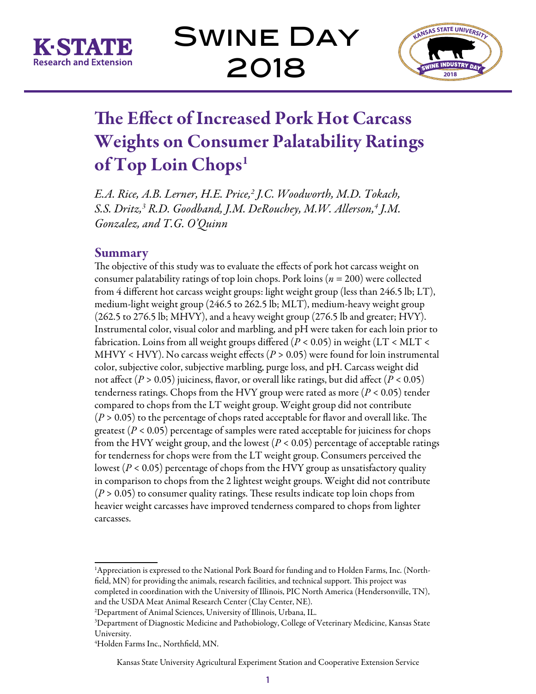

Swine Day 2018



# The Effect of Increased Pork Hot Carcass Weights on Consumer Palatability Ratings of Top Loin Chops<sup>1</sup>

*E.A. Rice, A.B. Lerner, H.E. Price,2 J.C. Woodworth, M.D. Tokach, S.S. Dritz,3 R.D. Goodband, J.M. DeRouchey, M.W. Allerson,4 J.M. Gonzalez, and T.G. O'Quinn*

# Summary

The objective of this study was to evaluate the effects of pork hot carcass weight on consumer palatability ratings of top loin chops. Pork loins (*n* = 200) were collected from 4 different hot carcass weight groups: light weight group (less than 246.5 lb; LT), medium-light weight group (246.5 to 262.5 lb; MLT), medium-heavy weight group (262.5 to 276.5 lb; MHVY), and a heavy weight group (276.5 lb and greater; HVY). Instrumental color, visual color and marbling, and pH were taken for each loin prior to fabrication. Loins from all weight groups differed (*P* < 0.05) in weight (LT < MLT < MHVY < HVY). No carcass weight effects ( $P > 0.05$ ) were found for loin instrumental color, subjective color, subjective marbling, purge loss, and pH. Carcass weight did not affect  $(P > 0.05)$  juiciness, flavor, or overall like ratings, but did affect  $(P < 0.05)$ tenderness ratings. Chops from the HVY group were rated as more (*P* < 0.05) tender compared to chops from the LT weight group. Weight group did not contribute (*P* > 0.05) to the percentage of chops rated acceptable for flavor and overall like. The greatest (*P* < 0.05) percentage of samples were rated acceptable for juiciness for chops from the HVY weight group, and the lowest (*P* < 0.05) percentage of acceptable ratings for tenderness for chops were from the LT weight group. Consumers perceived the lowest (*P* < 0.05) percentage of chops from the HVY group as unsatisfactory quality in comparison to chops from the 2 lightest weight groups. Weight did not contribute (*P* > 0.05) to consumer quality ratings. These results indicate top loin chops from heavier weight carcasses have improved tenderness compared to chops from lighter carcasses.

<sup>1</sup> Appreciation is expressed to the National Pork Board for funding and to Holden Farms, Inc. (Northfield, MN) for providing the animals, research facilities, and technical support. This project was completed in coordination with the University of Illinois, PIC North America (Hendersonville, TN), and the USDA Meat Animal Research Center (Clay Center, NE).

<sup>2</sup> Department of Animal Sciences, University of Illinois, Urbana, IL.

<sup>3</sup> Department of Diagnostic Medicine and Pathobiology, College of Veterinary Medicine, Kansas State University.

<sup>4</sup> Holden Farms Inc., Northfield, MN.

Kansas State University Agricultural Experiment Station and Cooperative Extension Service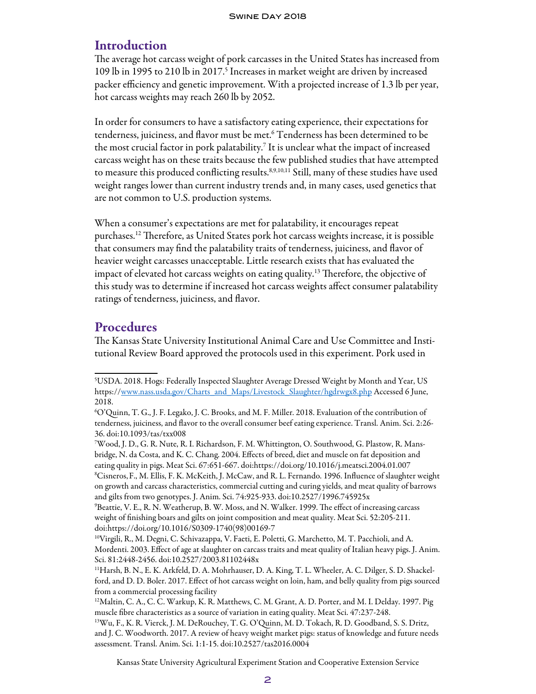# Introduction

The average hot carcass weight of pork carcasses in the United States has increased from 109 lb in 1995 to 210 lb in 2017.<sup>5</sup> Increases in market weight are driven by increased packer efficiency and genetic improvement. With a projected increase of 1.3 lb per year, hot carcass weights may reach 260 lb by 2052.

In order for consumers to have a satisfactory eating experience, their expectations for tenderness, juiciness, and flavor must be met.6 Tenderness has been determined to be the most crucial factor in pork palatability.<sup>7</sup> It is unclear what the impact of increased carcass weight has on these traits because the few published studies that have attempted to measure this produced conflicting results.<sup>8,9,10,11</sup> Still, many of these studies have used weight ranges lower than current industry trends and, in many cases, used genetics that are not common to U.S. production systems.

When a consumer's expectations are met for palatability, it encourages repeat purchases.12 Therefore, as United States pork hot carcass weights increase, it is possible that consumers may find the palatability traits of tenderness, juiciness, and flavor of heavier weight carcasses unacceptable. Little research exists that has evaluated the impact of elevated hot carcass weights on eating quality.<sup>13</sup> Therefore, the objective of this study was to determine if increased hot carcass weights affect consumer palatability ratings of tenderness, juiciness, and flavor.

## Procedures

The Kansas State University Institutional Animal Care and Use Committee and Institutional Review Board approved the protocols used in this experiment. Pork used in

7 Wood, J. D., G. R. Nute, R. I. Richardson, F. M. Whittington, O. Southwood, G. Plastow, R. Mansbridge, N. da Costa, and K. C. Chang. 2004. Effects of breed, diet and muscle on fat deposition and eating quality in pigs. Meat Sci. 67:651-667. doi:https://doi.org/10.1016/j.meatsci.2004.01.007 8 Cisneros,F., M. Ellis, F. K. McKeith, J. McCaw, and R. L. Fernando. 1996. Influence of slaughter weight on growth and carcass characteristics, commercial cutting and curing yields, and meat quality of barrows and gilts from two genotypes. J. Anim. Sci. 74:925-933. doi:10.2527/1996.745925x

Kansas State University Agricultural Experiment Station and Cooperative Extension Service

<sup>5</sup> USDA. 2018. Hogs: Federally Inspected Slaughter Average Dressed Weight by Month and Year, US https:/[/www.nass.usda.gov/Charts\\_and\\_Maps/Livestock\\_Slaughter/hgdrwgx8.php](http://www.nass.usda.gov/Charts_and_Maps/Livestock_Slaughter/hgdrwgx8.php) Accessed 6 June, 2018.

<sup>6</sup> O'Quinn, T. G., J. F. Legako, J. C. Brooks, and M. F. Miller. 2018. Evaluation of the contribution of tenderness, juiciness, and flavor to the overall consumer beef eating experience. Transl. Anim. Sci. 2:26- 36. doi:10.1093/tas/txx008

<sup>9</sup> Beattie, V. E., R. N. Weatherup, B. W. Moss, and N. Walker. 1999. The effect of increasing carcass weight of finishing boars and gilts on joint composition and meat quality. Meat Sci. 52:205-211. doi:https://doi.org/10.1016/S0309-1740(98)00169-7

<sup>10</sup>Virgili, R., M. Degni, C. Schivazappa, V. Faeti, E. Poletti, G. Marchetto, M. T. Pacchioli, and A. Mordenti. 2003. Effect of age at slaughter on carcass traits and meat quality of Italian heavy pigs. J. Anim. Sci. 81:2448-2456. doi:10.2527/2003.81102448x

<sup>11</sup>Harsh, B. N., E. K. Arkfeld, D. A. Mohrhauser, D. A. King, T. L. Wheeler, A. C. Dilger, S. D. Shackelford, and D. D. Boler. 2017. Effect of hot carcass weight on loin, ham, and belly quality from pigs sourced from a commercial processing facility

<sup>&</sup>lt;sup>12</sup>Maltin, C. A., C. C. Warkup, K. R. Matthews, C. M. Grant, A. D. Porter, and M. I. Delday. 1997. Pig muscle fibre characteristics as a source of variation in eating quality. Meat Sci. 47:237-248.

<sup>13</sup>Wu, F., K. R. Vierck, J. M. DeRouchey, T. G. O'Quinn, M. D. Tokach, R. D. Goodband, S. S. Dritz, and J. C. Woodworth. 2017. A review of heavy weight market pigs: status of knowledge and future needs assessment. Transl. Anim. Sci. 1:1-15. doi:10.2527/tas2016.0004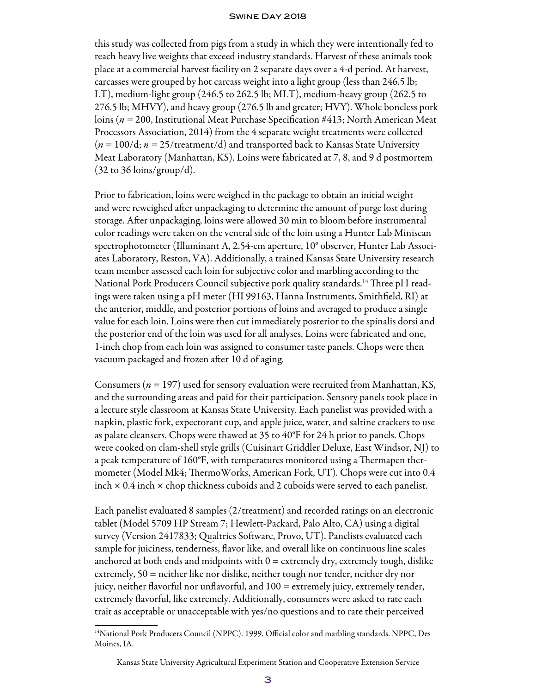#### Swine Day 2018

this study was collected from pigs from a study in which they were intentionally fed to reach heavy live weights that exceed industry standards. Harvest of these animals took place at a commercial harvest facility on 2 separate days over a 4-d period. At harvest, carcasses were grouped by hot carcass weight into a light group (less than 246.5 lb; LT), medium-light group (246.5 to 262.5 lb; MLT), medium-heavy group (262.5 to 276.5 lb; MHVY), and heavy group (276.5 lb and greater; HVY). Whole boneless pork loins (*n* = 200, Institutional Meat Purchase Specification #413; North American Meat Processors Association, 2014) from the 4 separate weight treatments were collected (*n* = 100/d; *n* = 25/treatment/d) and transported back to Kansas State University Meat Laboratory (Manhattan, KS). Loins were fabricated at 7, 8, and 9 d postmortem  $(32 \text{ to } 36 \text{ loins/group/d}).$ 

Prior to fabrication, loins were weighed in the package to obtain an initial weight and were reweighed after unpackaging to determine the amount of purge lost during storage. After unpackaging, loins were allowed 30 min to bloom before instrumental color readings were taken on the ventral side of the loin using a Hunter Lab Miniscan spectrophotometer (Illuminant A, 2.54-cm aperture, 10° observer, Hunter Lab Associates Laboratory, Reston, VA). Additionally, a trained Kansas State University research team member assessed each loin for subjective color and marbling according to the National Pork Producers Council subjective pork quality standards.<sup>14</sup> Three pH readings were taken using a pH meter (HI 99163, Hanna Instruments, Smithfield, RI) at the anterior, middle, and posterior portions of loins and averaged to produce a single value for each loin. Loins were then cut immediately posterior to the spinalis dorsi and the posterior end of the loin was used for all analyses. Loins were fabricated and one, 1-inch chop from each loin was assigned to consumer taste panels. Chops were then vacuum packaged and frozen after 10 d of aging.

Consumers (*n* = 197) used for sensory evaluation were recruited from Manhattan, KS, and the surrounding areas and paid for their participation. Sensory panels took place in a lecture style classroom at Kansas State University. Each panelist was provided with a napkin, plastic fork, expectorant cup, and apple juice, water, and saltine crackers to use as palate cleansers. Chops were thawed at 35 to 40°F for 24 h prior to panels. Chops were cooked on clam-shell style grills (Cuisinart Griddler Deluxe, East Windsor, NJ) to a peak temperature of 160°F, with temperatures monitored using a Thermapen thermometer (Model Mk4; ThermoWorks, American Fork, UT). Chops were cut into 0.4 inch  $\times$  0.4 inch  $\times$  chop thickness cuboids and 2 cuboids were served to each panelist.

Each panelist evaluated 8 samples (2/treatment) and recorded ratings on an electronic tablet (Model 5709 HP Stream 7; Hewlett-Packard, Palo Alto, CA) using a digital survey (Version 2417833; Qualtrics Software, Provo, UT). Panelists evaluated each sample for juiciness, tenderness, flavor like, and overall like on continuous line scales anchored at both ends and midpoints with  $0 =$  extremely dry, extremely tough, dislike extremely, 50 = neither like nor dislike, neither tough nor tender, neither dry nor juicy, neither flavorful nor unflavorful, and 100 = extremely juicy, extremely tender, extremely flavorful, like extremely. Additionally, consumers were asked to rate each trait as acceptable or unacceptable with yes/no questions and to rate their perceived

<sup>14</sup>National Pork Producers Council (NPPC). 1999. Official color and marbling standards. NPPC, Des Moines, IA.

Kansas State University Agricultural Experiment Station and Cooperative Extension Service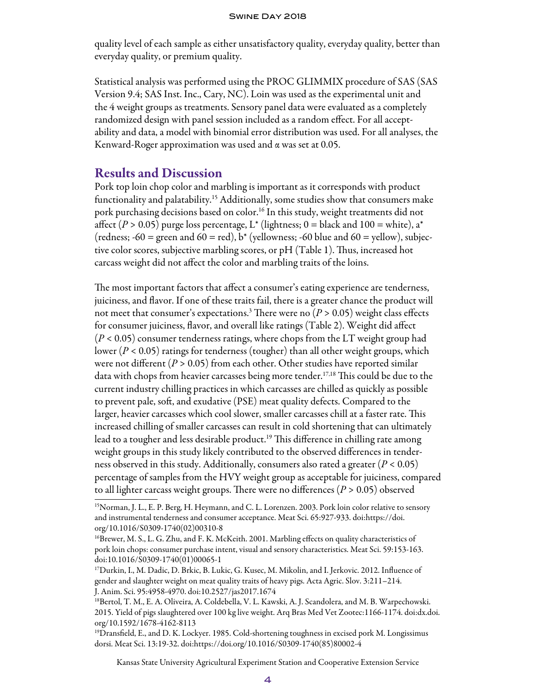quality level of each sample as either unsatisfactory quality, everyday quality, better than everyday quality, or premium quality.

Statistical analysis was performed using the PROC GLIMMIX procedure of SAS (SAS Version 9.4; SAS Inst. Inc., Cary, NC). Loin was used as the experimental unit and the 4 weight groups as treatments. Sensory panel data were evaluated as a completely randomized design with panel session included as a random effect. For all acceptability and data, a model with binomial error distribution was used. For all analyses, the Kenward-Roger approximation was used and α was set at 0.05.

## Results and Discussion

Pork top loin chop color and marbling is important as it corresponds with product functionality and palatability.15 Additionally, some studies show that consumers make pork purchasing decisions based on color.<sup>16</sup> In this study, weight treatments did not affect (*P* > 0.05) purge loss percentage, L<sup>\*</sup> (lightness; 0 = black and 100 = white), a<sup>\*</sup> (redness;  $-60 =$  green and  $60 =$  red), b<sup>\*</sup> (yellowness;  $-60$  blue and  $60 =$  yellow), subjective color scores, subjective marbling scores, or pH (Table 1). Thus, increased hot carcass weight did not affect the color and marbling traits of the loins.

The most important factors that affect a consumer's eating experience are tenderness, juiciness, and flavor. If one of these traits fail, there is a greater chance the product will not meet that consumer's expectations.3 There were no (*P* > 0.05) weight class effects for consumer juiciness, flavor, and overall like ratings (Table 2). Weight did affect (*P* < 0.05) consumer tenderness ratings, where chops from the LT weight group had lower (*P* < 0.05) ratings for tenderness (tougher) than all other weight groups, which were not different (*P* > 0.05) from each other. Other studies have reported similar data with chops from heavier carcasses being more tender.<sup>17,18</sup> This could be due to the current industry chilling practices in which carcasses are chilled as quickly as possible to prevent pale, soft, and exudative (PSE) meat quality defects. Compared to the larger, heavier carcasses which cool slower, smaller carcasses chill at a faster rate. This increased chilling of smaller carcasses can result in cold shortening that can ultimately lead to a tougher and less desirable product.<sup>19</sup> This difference in chilling rate among weight groups in this study likely contributed to the observed differences in tenderness observed in this study. Additionally, consumers also rated a greater (*P* < 0.05) percentage of samples from the HVY weight group as acceptable for juiciness, compared to all lighter carcass weight groups. There were no differences (*P* > 0.05) observed

Kansas State University Agricultural Experiment Station and Cooperative Extension Service

<sup>15</sup>Norman, J. L., E. P. Berg, H. Heymann, and C. L. Lorenzen. 2003. Pork loin color relative to sensory and instrumental tenderness and consumer acceptance. Meat Sci. 65:927-933. doi:https://doi. org/10.1016/S0309-1740(02)00310-8

<sup>&</sup>lt;sup>16</sup>Brewer, M. S., L. G. Zhu, and F. K. McKeith. 2001. Marbling effects on quality characteristics of pork loin chops: consumer purchase intent, visual and sensory characteristics. Meat Sci. 59:153-163. doi:10.1016/S0309-1740(01)00065-1

<sup>17</sup>Durkin, I., M. Dadic, D. Brkic, B. Lukic, G. Kusec, M. Mikolin, and I. Jerkovic. 2012. Influence of gender and slaughter weight on meat quality traits of heavy pigs. Acta Agric. Slov. 3:211–214. J. Anim. Sci. 95:4958-4970. doi:10.2527/jas2017.1674

<sup>18</sup>Bertol, T. M., E. A. Oliveira, A. Coldebella, V. L. Kawski, A. J. Scandolera, and M. B. Warpechowski. 2015. Yield of pigs slaughtered over 100 kg live weight. Arq Bras Med Vet Zootec:1166-1174. doi:dx.doi. org/10.1592/1678-4162-8113

<sup>19</sup>Dransfield, E., and D. K. Lockyer. 1985. Cold-shortening toughness in excised pork M. Longissimus dorsi. Meat Sci. 13:19-32. doi:https://doi.org/10.1016/S0309-1740(85)80002-4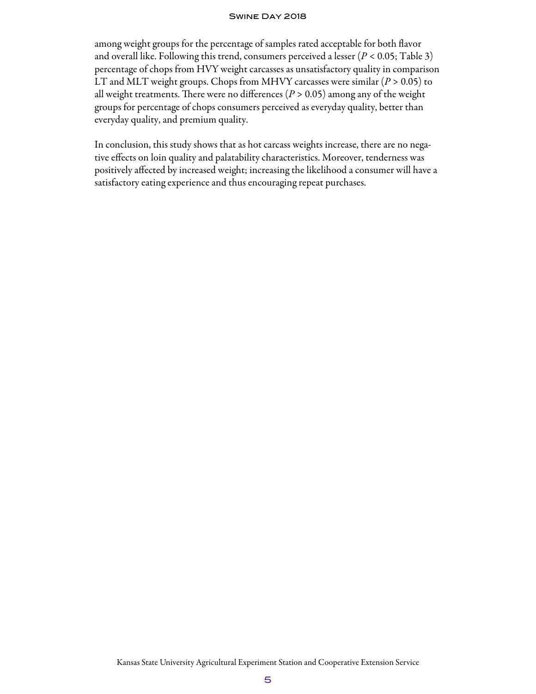#### Swine Day 2018

among weight groups for the percentage of samples rated acceptable for both flavor and overall like. Following this trend, consumers perceived a lesser (*P <* 0.05; Table 3) percentage of chops from HVY weight carcasses as unsatisfactory quality in comparison LT and MLT weight groups. Chops from MHVY carcasses were similar (*P* > 0.05) to all weight treatments. There were no differences ( $P > 0.05$ ) among any of the weight groups for percentage of chops consumers perceived as everyday quality, better than everyday quality, and premium quality.

In conclusion, this study shows that as hot carcass weights increase, there are no negative effects on loin quality and palatability characteristics. Moreover, tenderness was positively affected by increased weight; increasing the likelihood a consumer will have a satisfactory eating experience and thus encouraging repeat purchases.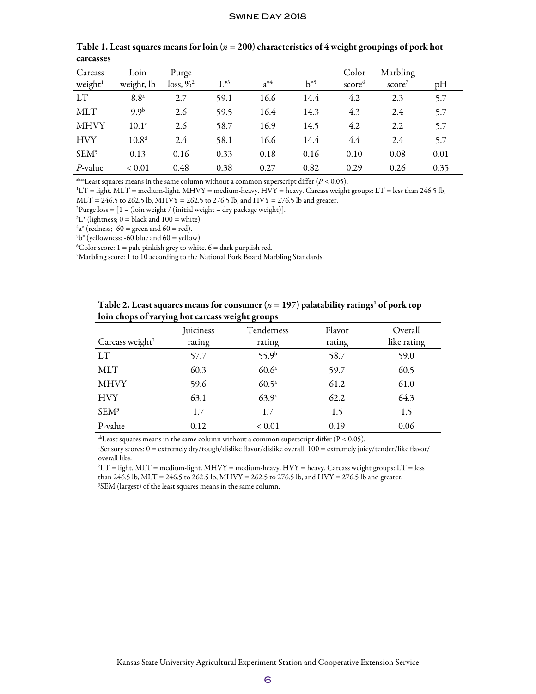| Carcass<br>weight <sup>1</sup> | Loin<br>weight, lb | Purge<br>$loss, \%^2$ | $L^{*3}$ | $a^{*4}$ | $b^{*5}$ | Color<br>score <sup>6</sup> | Marbling<br>score' | pH   |
|--------------------------------|--------------------|-----------------------|----------|----------|----------|-----------------------------|--------------------|------|
| <b>LT</b>                      | 8.8 <sup>a</sup>   | 2.7                   | 59.1     | 16.6     | 14.4     | 4.2                         | 2.3                | 5.7  |
| MLT                            | 9.9 <sup>b</sup>   | 2.6                   | 59.5     | 16.4     | 14.3     | 4.3                         | 2.4                | 5.7  |
| <b>MHVY</b>                    | 10.1 <sup>c</sup>  | 2.6                   | 58.7     | 16.9     | 14.5     | 4.2                         | 2.2                | 5.7  |
| <b>HVY</b>                     | 10.8 <sup>d</sup>  | 2.4                   | 58.1     | 16.6     | 14.4     | 4.4                         | 2.4                | 5.7  |
| SEM <sup>5</sup>               | 0.13               | 0.16                  | 0.33     | 0.18     | 0.16     | 0.10                        | 0.08               | 0.01 |
| <i>P</i> -value                | ${}< 0.01$         | 0.48                  | 0.38     | 0.27     | 0.82     | 0.29                        | 0.26               | 0.35 |

Table 1. Least squares means for loin (*n* = 200) characteristics of 4 weight groupings of pork hot carcasses

 $a<sup>abcd</sup>$  Least squares means in the same column without a common superscript differ  $(P < 0.05)$ .

1 LT = light. MLT = medium-light. MHVY = medium-heavy. HVY = heavy. Carcass weight groups: LT = less than 246.5 lb,  $MLT = 246.5$  to 262.5 lb,  $MHVY = 262.5$  to 276.5 lb, and  $HVY = 276.5$  lb and greater.

<sup>2</sup>Purge loss =  $[1 - (\text{loin weight}/(\text{initial weight} - \text{dry package weight})].$ 

 ${}^{3}L^{*}$  (lightness; 0 = black and 100 = white).

 $a^4$ a $*$  (redness; -60 = green and 60 = red).

 $5b^*$  (yellowness; -60 blue and 60 = yellow).

 ${}^6$ Color score: 1 = pale pinkish grey to white. 6 = dark purplish red.

7 Marbling score: 1 to 10 according to the National Pork Board Marbling Standards.

Table 2. Least squares means for consumer ( $n = 197$ ) palatability ratings<sup>1</sup> of pork top loin chops of varying hot carcass weight groups

|                             | Juiciness | Tenderness        | Flavor | Overall     |
|-----------------------------|-----------|-------------------|--------|-------------|
| Carcass weight <sup>2</sup> | rating    | rating            | rating | like rating |
| <b>LT</b>                   | 57.7      | 55.9 <sup>b</sup> | 58.7   | 59.0        |
| MLT                         | 60.3      | $60.6^{\circ}$    | 59.7   | 60.5        |
| <b>MHVY</b>                 | 59.6      | 60.5 <sup>a</sup> | 61.2   | 61.0        |
| <b>HVY</b>                  | 63.1      | $63.9^{\circ}$    | 62.2   | 64.3        |
| SEM <sup>3</sup>            | 1.7       | 1.7               | 1.5    | 1.5         |
| P-value                     | 0.12      | ${}< 0.01$        | 0.19   | 0.06        |

<sup>ab</sup>Least squares means in the same column without a common superscript differ  $(P < 0.05)$ .

1 Sensory scores: 0 = extremely dry/tough/dislike flavor/dislike overall; 100 = extremely juicy/tender/like flavor/ overall like.

 $2LT =$  light.  $MLT =$  medium-light.  $MHVY =$  medium-heavy.  $HVY =$  heavy. Carcass weight groups:  $LT =$  less than 246.5 lb, MLT = 246.5 to 262.5 lb, MHVY = 262.5 to 276.5 lb, and HVY = 276.5 lb and greater. 3 SEM (largest) of the least squares means in the same column.